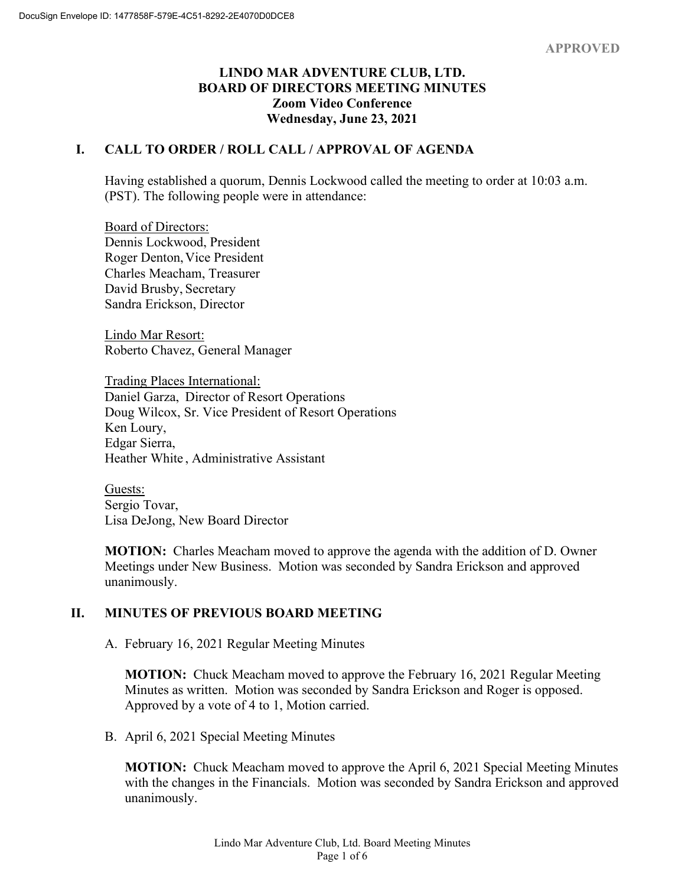### **LINDO MAR ADVENTURE CLUB, LTD. BOARD OF DIRECTORS MEETING MINUTES Zoom Video Conference Wednesday, June 23, 2021**

# **I. CALL TO ORDER / ROLL CALL / APPROVAL OF AGENDA**

Having established a quorum, Dennis Lockwood called the meeting to order at 10:03 a.m. (PST). The following people were in attendance:

Board of Directors: Dennis Lockwood, President Roger Denton, Vice President Charles Meacham, Treasurer David Brusby, Secretary Sandra Erickson, Director

Lindo Mar Resort: Roberto Chavez, General Manager

Trading Places International: Daniel Garza, Director of Resort Operations Doug Wilcox, Sr. Vice President of Resort Operations Ken Loury, Edgar Sierra, Heather White , Administrative Assistant

Guests: Sergio Tovar, Lisa DeJong, New Board Director

**MOTION:** Charles Meacham moved to approve the agenda with the addition of D. Owner Meetings under New Business. Motion was seconded by Sandra Erickson and approved unanimously.

## **II. MINUTES OF PREVIOUS BOARD MEETING**

A. February 16, 2021 Regular Meeting Minutes

**MOTION:** Chuck Meacham moved to approve the February 16, 2021 Regular Meeting Minutes as written. Motion was seconded by Sandra Erickson and Roger is opposed. Approved by a vote of 4 to 1, Motion carried.

B. April 6, 2021 Special Meeting Minutes

**MOTION:** Chuck Meacham moved to approve the April 6, 2021 Special Meeting Minutes with the changes in the Financials. Motion was seconded by Sandra Erickson and approved unanimously.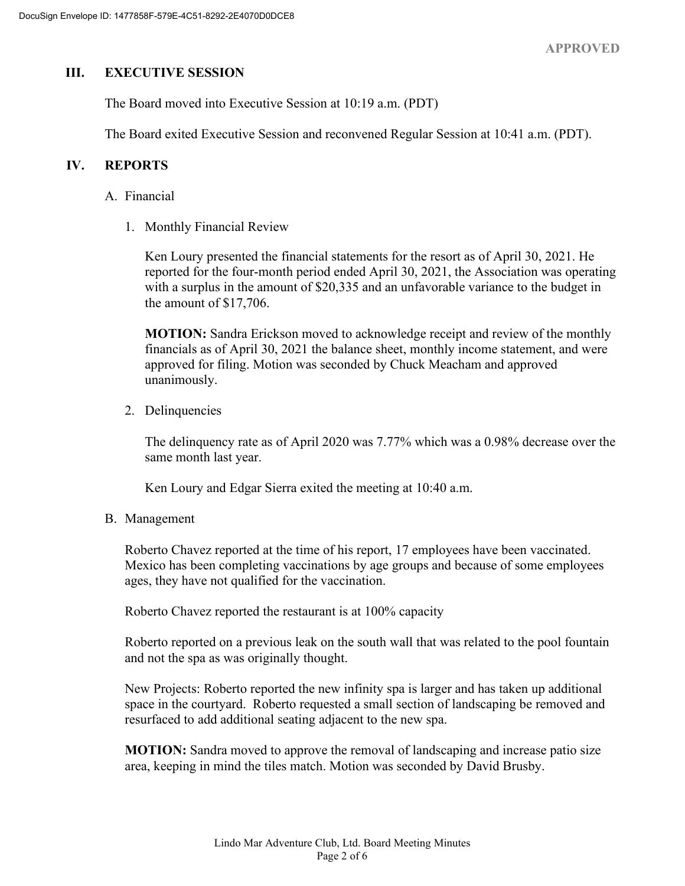### **III. EXECUTIVE SESSION**

The Board moved into Executive Session at 10:19 a.m. (PDT)

The Board exited Executive Session and reconvened Regular Session at 10:41 a.m. (PDT).

### **IV. REPORTS**

#### A. Financial

1. Monthly Financial Review

Ken Loury presented the financial statements for the resort as of April 30, 2021. He reported for the four-month period ended April 30, 2021, the Association was operating with a surplus in the amount of \$20,335 and an unfavorable variance to the budget in the amount of \$17,706.

**MOTION:** Sandra Erickson moved to acknowledge receipt and review of the monthly financials as of April 30, 2021 the balance sheet, monthly income statement, and were approved for filing. Motion was seconded by Chuck Meacham and approved unanimously.

2. Delinquencies

The delinquency rate as of April 2020 was 7.77% which was a 0.98% decrease over the same month last year.

Ken Loury and Edgar Sierra exited the meeting at 10:40 a.m.

B. Management

Roberto Chavez reported at the time of his report, 17 employees have been vaccinated. Mexico has been completing vaccinations by age groups and because of some employees ages, they have not qualified for the vaccination.

Roberto Chavez reported the restaurant is at 100% capacity

Roberto reported on a previous leak on the south wall that was related to the pool fountain and not the spa as was originally thought.

New Projects: Roberto reported the new infinity spa is larger and has taken up additional space in the courtyard. Roberto requested a small section of landscaping be removed and resurfaced to add additional seating adjacent to the new spa.

**MOTION:** Sandra moved to approve the removal of landscaping and increase patio size area, keeping in mind the tiles match. Motion was seconded by David Brusby.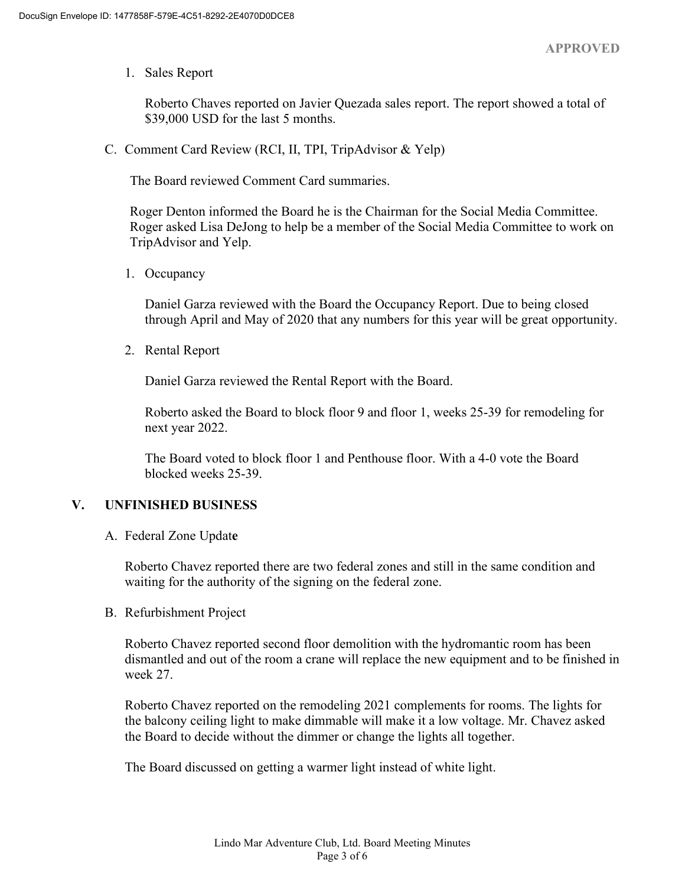1. Sales Report

Roberto Chaves reported on Javier Quezada sales report. The report showed a total of \$39,000 USD for the last 5 months.

C. Comment Card Review (RCI, II, TPI, TripAdvisor & Yelp)

The Board reviewed Comment Card summaries.

Roger Denton informed the Board he is the Chairman for the Social Media Committee. Roger asked Lisa DeJong to help be a member of the Social Media Committee to work on TripAdvisor and Yelp.

1. Occupancy

Daniel Garza reviewed with the Board the Occupancy Report. Due to being closed through April and May of 2020 that any numbers for this year will be great opportunity.

2. Rental Report

Daniel Garza reviewed the Rental Report with the Board.

Roberto asked the Board to block floor 9 and floor 1, weeks 25-39 for remodeling for next year 2022.

The Board voted to block floor 1 and Penthouse floor. With a 4-0 vote the Board blocked weeks 25-39.

### **V. UNFINISHED BUSINESS**

A. Federal Zone Updat**e**

Roberto Chavez reported there are two federal zones and still in the same condition and waiting for the authority of the signing on the federal zone.

B. Refurbishment Project

Roberto Chavez reported second floor demolition with the hydromantic room has been dismantled and out of the room a crane will replace the new equipment and to be finished in week 27.

Roberto Chavez reported on the remodeling 2021 complements for rooms. The lights for the balcony ceiling light to make dimmable will make it a low voltage. Mr. Chavez asked the Board to decide without the dimmer or change the lights all together.

The Board discussed on getting a warmer light instead of white light.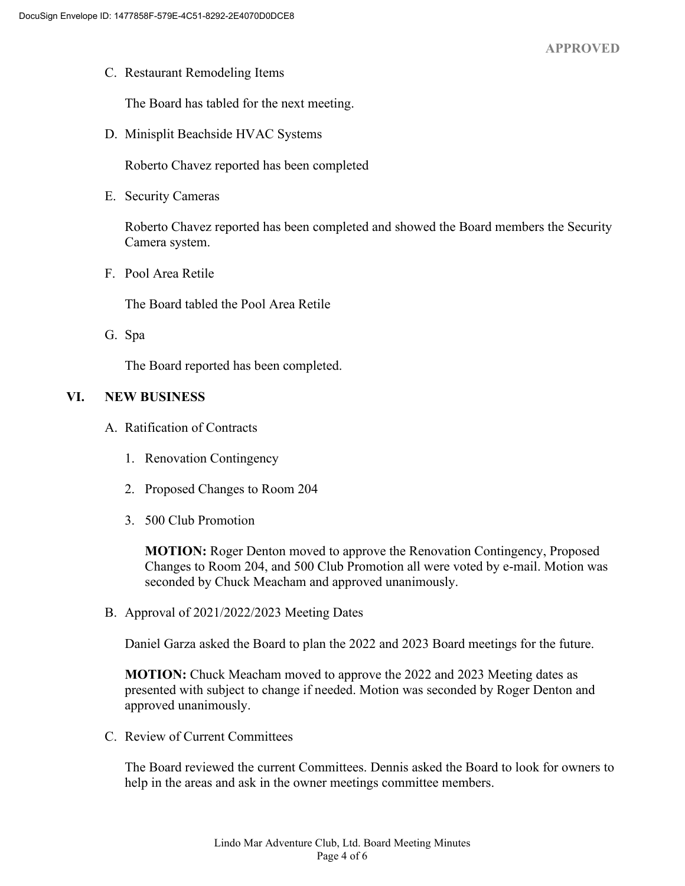C. Restaurant Remodeling Items

The Board has tabled for the next meeting.

D. Minisplit Beachside HVAC Systems

Roberto Chavez reported has been completed

E. Security Cameras

Roberto Chavez reported has been completed and showed the Board members the Security Camera system.

F. Pool Area Retile

The Board tabled the Pool Area Retile

G. Spa

The Board reported has been completed.

### **VI. NEW BUSINESS**

- A. Ratification of Contracts
	- 1. Renovation Contingency
	- 2. Proposed Changes to Room 204
	- 3. 500 Club Promotion

**MOTION:** Roger Denton moved to approve the Renovation Contingency, Proposed Changes to Room 204, and 500 Club Promotion all were voted by e-mail. Motion was seconded by Chuck Meacham and approved unanimously.

B. Approval of 2021/2022/2023 Meeting Dates

Daniel Garza asked the Board to plan the 2022 and 2023 Board meetings for the future.

**MOTION:** Chuck Meacham moved to approve the 2022 and 2023 Meeting dates as presented with subject to change if needed. Motion was seconded by Roger Denton and approved unanimously.

C. Review of Current Committees

The Board reviewed the current Committees. Dennis asked the Board to look for owners to help in the areas and ask in the owner meetings committee members.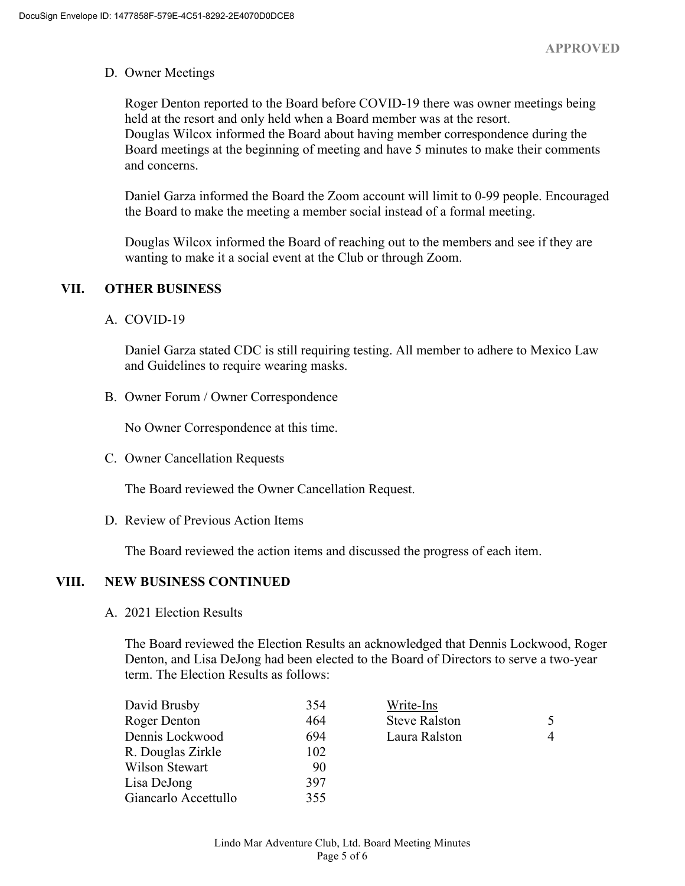#### D. Owner Meetings

Roger Denton reported to the Board before COVID-19 there was owner meetings being held at the resort and only held when a Board member was at the resort. Douglas Wilcox informed the Board about having member correspondence during the Board meetings at the beginning of meeting and have 5 minutes to make their comments and concerns.

Daniel Garza informed the Board the Zoom account will limit to 0-99 people. Encouraged the Board to make the meeting a member social instead of a formal meeting.

Douglas Wilcox informed the Board of reaching out to the members and see if they are wanting to make it a social event at the Club or through Zoom.

### **VII. OTHER BUSINESS**

### A. COVID-19

Daniel Garza stated CDC is still requiring testing. All member to adhere to Mexico Law and Guidelines to require wearing masks.

B. Owner Forum / Owner Correspondence

No Owner Correspondence at this time.

C. Owner Cancellation Requests

The Board reviewed the Owner Cancellation Request.

D. Review of Previous Action Items

The Board reviewed the action items and discussed the progress of each item.

### **VIII. NEW BUSINESS CONTINUED**

A. 2021 Election Results

The Board reviewed the Election Results an acknowledged that Dennis Lockwood, Roger Denton, and Lisa DeJong had been elected to the Board of Directors to serve a two-year term. The Election Results as follows:

| David Brusby         | 354 | Write-Ins            |   |
|----------------------|-----|----------------------|---|
| Roger Denton         | 464 | <b>Steve Ralston</b> |   |
| Dennis Lockwood      | 694 | Laura Ralston        | 4 |
| R. Douglas Zirkle    | 102 |                      |   |
| Wilson Stewart       | 90  |                      |   |
| Lisa DeJong          | 397 |                      |   |
| Giancarlo Accettullo | 355 |                      |   |